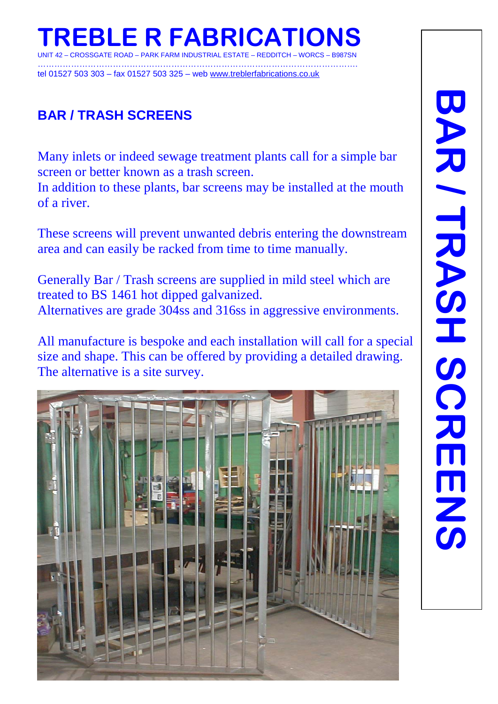**REBLE R FABRICAT UNITE ROAD – PARK FARM INDUSTRIAL ESTATE – REDDITCH –** 

……………………………………………………………………………………………………. tel 01527 503 303 – fax 01527 503 325 – web [www.treblerfabrications.co.uk](http://www.treblerfabrications.co.uk/)

## **BAR / TRASH SCREENS**

Many inlets or indeed sewage treatment plants call for a simple bar screen or better known as a trash screen.

In addition to these plants, bar screens may be installed at the mouth of a river.

These screens will prevent unwanted debris entering the downstream area and can easily be racked from time to time manually.

Generally Bar / Trash screens are supplied in mild steel which are treated to BS 1461 hot dipped galvanized. Alternatives are grade 304ss and 316ss in aggressive environments.

All manufacture is bespoke and each installation will call for a special size and shape. This can be offered by providing a detailed drawing. The alternative is a site survey.



I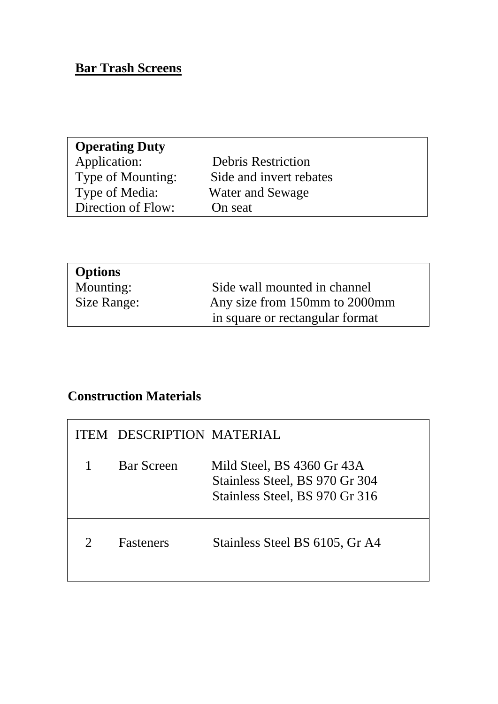### **Bar Trash Screens**

| <b>Operating Duty</b> |                           |
|-----------------------|---------------------------|
| Application:          | <b>Debris Restriction</b> |
| Type of Mounting:     | Side and invert rebates   |
| Type of Media:        | Water and Sewage          |
| Direction of Flow:    | On seat                   |
|                       |                           |

| <b>Options</b> |                                 |
|----------------|---------------------------------|
| Mounting:      | Side wall mounted in channel    |
| Size Range:    | Any size from 150mm to 2000mm   |
|                | in square or rectangular format |

# **Construction Materials**

| <b>ITEM DESCRIPTION MATERIAL</b> |                                                                                                |
|----------------------------------|------------------------------------------------------------------------------------------------|
| <b>Bar Screen</b>                | Mild Steel, BS 4360 Gr 43A<br>Stainless Steel, BS 970 Gr 304<br>Stainless Steel, BS 970 Gr 316 |
| <b>Fasteners</b>                 | Stainless Steel BS 6105, Gr A4                                                                 |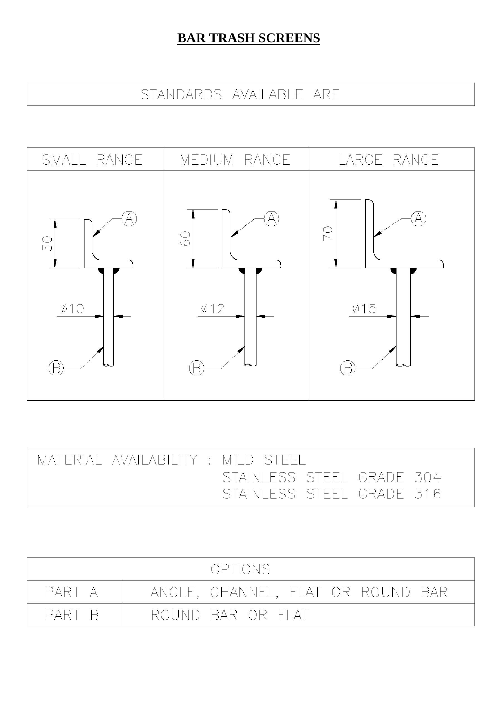## **BAR TRASH SCREENS**

# STANDARDS AVAILABLE ARE



| MATERIAL AVAILABILITY: MILD STEEL |                                                        |  |  |
|-----------------------------------|--------------------------------------------------------|--|--|
|                                   | STAINLESS STEEL GRADE 304<br>STAINLESS STEEL GRADE 316 |  |  |
|                                   |                                                        |  |  |

|        | OPTIONS                           |
|--------|-----------------------------------|
| PART A | ANGLE, CHANNEL, FLAT OR ROUND BAR |
| PART B | ROUND BAR OR FLAT                 |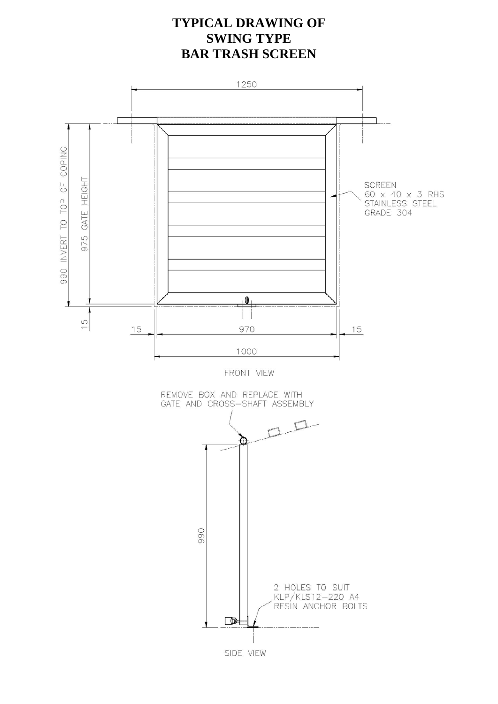### **TYPICAL DRAWING OF SWING TYPE BAR TRASH SCREEN**

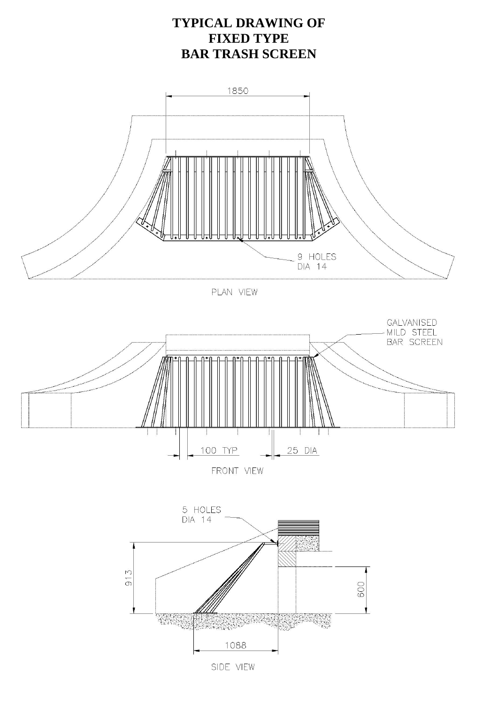### **TYPICAL DRAWING OF FIXED TYPE BAR TRASH SCREEN**



PLAN VIEW





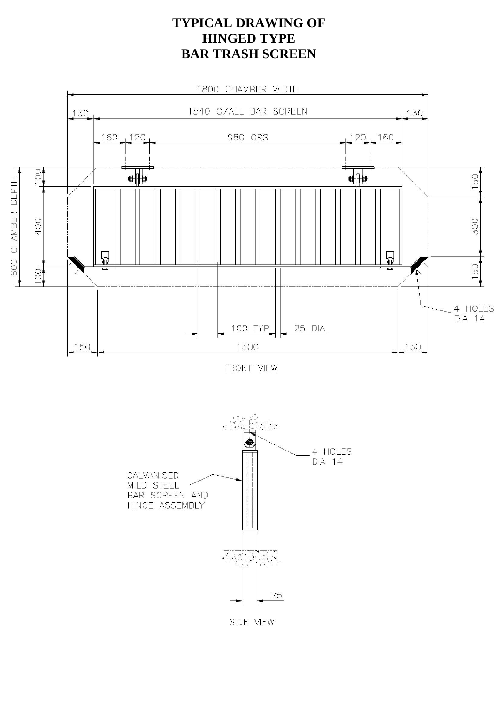#### **TYPICAL DRAWING OF HINGED TYPE BAR TRASH SCREEN**



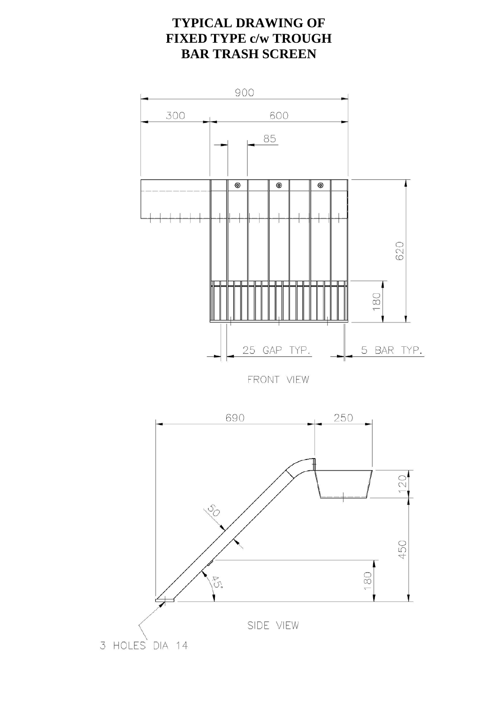### **TYPICAL DRAWING OF FIXED TYPE c/w TROUGH BAR TRASH SCREEN**

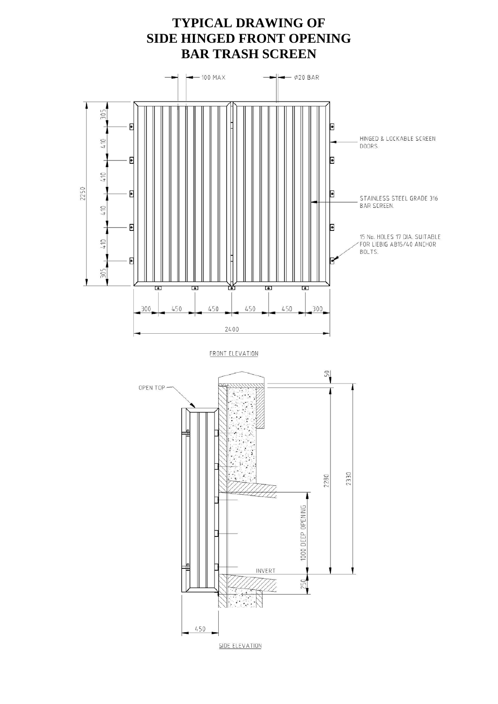### **TYPICAL DRAWING OF SIDE HINGED FRONT OPENING BAR TRASH SCREEN**